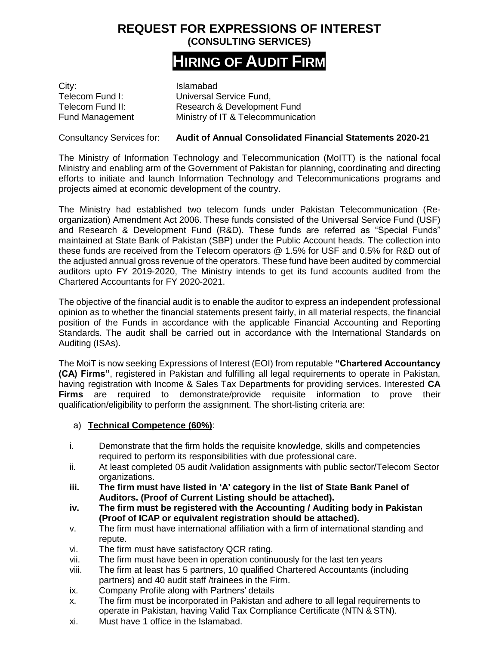## **REQUEST FOR EXPRESSIONS OF INTEREST (CONSULTING SERVICES)**

# **HIRING OF AUDIT FIRM**

City: City:<br>Telecom Fund I: Computers Universal S

Universal Service Fund. Telecom Fund II: Research & Development Fund Fund Management Ministry of IT & Telecommunication

Consultancy Services for: **Audit of Annual Consolidated Financial Statements 2020-21**

The Ministry of Information Technology and Telecommunication (MoITT) is the national focal Ministry and enabling arm of the Government of Pakistan for planning, coordinating and directing efforts to initiate and launch Information Technology and Telecommunications programs and projects aimed at economic development of the country.

The Ministry had established two telecom funds under Pakistan Telecommunication (Reorganization) Amendment Act 2006. These funds consisted of the Universal Service Fund (USF) and Research & Development Fund (R&D). These funds are referred as "Special Funds" maintained at State Bank of Pakistan (SBP) under the Public Account heads. The collection into these funds are received from the Telecom operators @ 1.5% for USF and 0.5% for R&D out of the adjusted annual gross revenue of the operators. These fund have been audited by commercial auditors upto FY 2019-2020, The Ministry intends to get its fund accounts audited from the Chartered Accountants for FY 2020-2021.

The objective of the financial audit is to enable the auditor to express an independent professional opinion as to whether the financial statements present fairly, in all material respects, the financial position of the Funds in accordance with the applicable Financial Accounting and Reporting Standards. The audit shall be carried out in accordance with the International Standards on Auditing (ISAs).

The MoiT is now seeking Expressions of Interest (EOI) from reputable **"Chartered Accountancy (CA) Firms"**, registered in Pakistan and fulfilling all legal requirements to operate in Pakistan, having registration with Income & Sales Tax Departments for providing services. Interested **CA Firms** are required to demonstrate/provide requisite information to prove their qualification/eligibility to perform the assignment. The short-listing criteria are:

### a) **Technical Competence (60%)**:

- i. Demonstrate that the firm holds the requisite knowledge, skills and competencies required to perform its responsibilities with due professional care.
- ii. At least completed 05 audit /validation assignments with public sector/Telecom Sector organizations.
- **iii. The firm must have listed in 'A' category in the list of State Bank Panel of Auditors. (Proof of Current Listing should be attached).**
- **iv. The firm must be registered with the Accounting / Auditing body in Pakistan (Proof of ICAP or equivalent registration should be attached).**
- v. The firm must have international affiliation with a firm of international standing and repute.
- vi. The firm must have satisfactory QCR rating.
- vii. The firm must have been in operation continuously for the last ten years
- viii. The firm at least has 5 partners, 10 qualified Chartered Accountants (including partners) and 40 audit staff /trainees in the Firm.
- ix. Company Profile along with Partners' details
- x. The firm must be incorporated in Pakistan and adhere to all legal requirements to operate in Pakistan, having Valid Tax Compliance Certificate (NTN & STN).
- xi. Must have 1 office in the Islamabad.